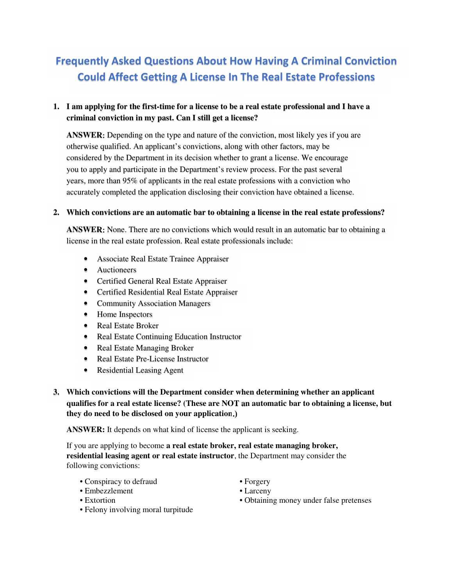# Frequently Asked Questions About How Having A Criminal Conviction Could Affect Getting A License In The Real Estate Professions

## **1. I am applying for the first-time for a license to be a real estate professional and I have a criminal conviction in my past. Can I still get a license?**

**ANSWER:** Depending on the type and nature of the conviction, most likely yes if you are otherwise qualified. An applicant's convictions, along with other factors, may be considered by the Department in its decision whether to grant a license. We encourage you to apply and participate in the Department's review process. For the past several years, more than 95% of applicants in the real estate professions with a conviction who accurately completed the application disclosing their conviction have obtained a license.

### **2. Which convictions are an automatic bar to obtaining a license in the real estate professions?**

**ANSWER:** None. There are no convictions which would result in an automatic bar to obtaining a license in the real estate profession. Real estate professionals include:

- Associate Real Estate Trainee Appraiser
- Auctioneers
- Certified General Real Estate Appraiser
- Certified Residential Real Estate Appraiser
- Community Association Managers
- Home Inspectors
- Real Estate Broker
- Real Estate Continuing Education Instructor
- Real Estate Managing Broker
- Real Estate Pre-License Instructor
- Residential Leasing Agent
- **3. Which convictions will the Department consider when determining whether an applicant qualifies for a real estate license? (These are NOT an automatic bar to obtaining a license, but they do need to be disclosed on your application.)**

**ANSWER:** It depends on what kind of license the applicant is seeking.

If you are applying to become **a real estate broker, real estate managing broker, residential leasing agent or real estate instructor**, the Department may consider the following convictions:

- Conspiracy to defraud Forgery
- Embezzlement Larceny
- 
- Felony involving moral turpitude
- 
- 
- Extortion Obtaining money under false pretenses